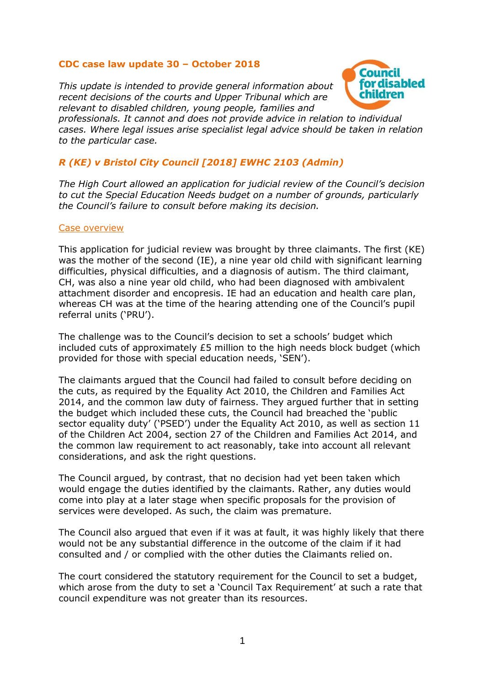## **CDC case law update 30 – October 2018**

*This update is intended to provide general information about recent decisions of the courts and Upper Tribunal which are relevant to disabled children, young people, families and* 



*professionals. It cannot and does not provide advice in relation to individual cases. Where legal issues arise specialist legal advice should be taken in relation to the particular case.*

# *R (KE) v Bristol City Council [2018] EWHC 2103 (Admin)*

*The High Court allowed an application for judicial review of the Council's decision to cut the Special Education Needs budget on a number of grounds, particularly the Council's failure to consult before making its decision.*

#### Case overview

This application for judicial review was brought by three claimants. The first (KE) was the mother of the second (IE), a nine year old child with significant learning difficulties, physical difficulties, and a diagnosis of autism. The third claimant, CH, was also a nine year old child, who had been diagnosed with ambivalent attachment disorder and encopresis. IE had an education and health care plan, whereas CH was at the time of the hearing attending one of the Council's pupil referral units ('PRU').

The challenge was to the Council's decision to set a schools' budget which included cuts of approximately £5 million to the high needs block budget (which provided for those with special education needs, 'SEN').

The claimants argued that the Council had failed to consult before deciding on the cuts, as required by the Equality Act 2010, the Children and Families Act 2014, and the common law duty of fairness. They argued further that in setting the budget which included these cuts, the Council had breached the 'public sector equality duty' ('PSED') under the Equality Act 2010, as well as section 11 of the Children Act 2004, section 27 of the Children and Families Act 2014, and the common law requirement to act reasonably, take into account all relevant considerations, and ask the right questions.

The Council argued, by contrast, that no decision had yet been taken which would engage the duties identified by the claimants. Rather, any duties would come into play at a later stage when specific proposals for the provision of services were developed. As such, the claim was premature.

The Council also argued that even if it was at fault, it was highly likely that there would not be any substantial difference in the outcome of the claim if it had consulted and / or complied with the other duties the Claimants relied on.

The court considered the statutory requirement for the Council to set a budget, which arose from the duty to set a 'Council Tax Requirement' at such a rate that council expenditure was not greater than its resources.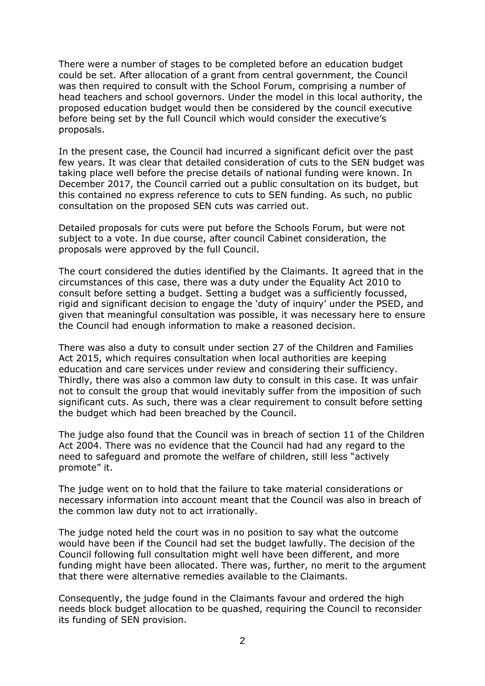There were a number of stages to be completed before an education budget could be set. After allocation of a grant from central government, the Council was then required to consult with the School Forum, comprising a number of head teachers and school governors. Under the model in this local authority, the proposed education budget would then be considered by the council executive before being set by the full Council which would consider the executive's proposals.

In the present case, the Council had incurred a significant deficit over the past few years. It was clear that detailed consideration of cuts to the SEN budget was taking place well before the precise details of national funding were known. In December 2017, the Council carried out a public consultation on its budget, but this contained no express reference to cuts to SEN funding. As such, no public consultation on the proposed SEN cuts was carried out.

Detailed proposals for cuts were put before the Schools Forum, but were not subject to a vote. In due course, after council Cabinet consideration, the proposals were approved by the full Council.

The court considered the duties identified by the Claimants. It agreed that in the circumstances of this case, there was a duty under the Equality Act 2010 to consult before setting a budget. Setting a budget was a sufficiently focussed, rigid and significant decision to engage the 'duty of inquiry' under the PSED, and given that meaningful consultation was possible, it was necessary here to ensure the Council had enough information to make a reasoned decision.

There was also a duty to consult under section 27 of the Children and Families Act 2015, which requires consultation when local authorities are keeping education and care services under review and considering their sufficiency. Thirdly, there was also a common law duty to consult in this case. It was unfair not to consult the group that would inevitably suffer from the imposition of such significant cuts. As such, there was a clear requirement to consult before setting the budget which had been breached by the Council.

The judge also found that the Council was in breach of section 11 of the Children Act 2004. There was no evidence that the Council had had any regard to the need to safeguard and promote the welfare of children, still less "actively promote" it.

The judge went on to hold that the failure to take material considerations or necessary information into account meant that the Council was also in breach of the common law duty not to act irrationally.

The judge noted held the court was in no position to say what the outcome would have been if the Council had set the budget lawfully. The decision of the Council following full consultation might well have been different, and more funding might have been allocated. There was, further, no merit to the argument that there were alternative remedies available to the Claimants.

Consequently, the judge found in the Claimants favour and ordered the high needs block budget allocation to be quashed, requiring the Council to reconsider its funding of SEN provision.